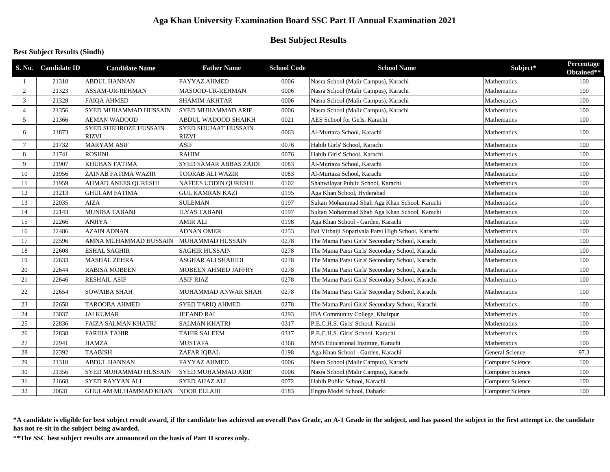# **Aga Khan University Examination Board SSC Part II Annual Examination 2021**

## **Best Subject Results**

## **Best Subject Results (Sindh)**

|                 | S. No. Candidate ID | <b>Candidate Name</b>                        | <b>Father Name</b>                          | <b>School Code</b> | <b>School Name</b>                                 | Subject*                | Percentage<br>Obtained** |
|-----------------|---------------------|----------------------------------------------|---------------------------------------------|--------------------|----------------------------------------------------|-------------------------|--------------------------|
|                 | 21318               | <b>ABDUL HANNAN</b>                          | <b>FAYYAZ AHMED</b>                         | 0006               | Nasra School (Malir Campus), Karachi               | Mathematics             | 100                      |
| 2               | 21323               | ASSAM-UR-REHMAN                              | MASOOD-UR-REHMAN                            | 0006               | Nasra School (Malir Campus), Karachi               | <b>Mathematics</b>      | 100                      |
| 3               | 21328               | <b>FAIQA AHMED</b>                           | <b>SHAMIM AKHTAR</b>                        | 0006               | Nasra School (Malir Campus), Karachi               | Mathematics             | 100                      |
| $\overline{4}$  | 21356               | <b>SYED MUHAMMAD HUSSAIN</b>                 | <b>SYED MUHAMMAD ARIF</b>                   | 0006               | Nasra School (Malir Campus), Karachi               | Mathematics             | 100                      |
| 5               | 21366               | <b>AEMAN WADOOD</b>                          | ABDUL WADOOD SHAIKH                         | 0021               | AES School for Girls, Karachi                      | Mathematics             | 100                      |
| 6               | 21873               | <b>SYED SHEHROZE HUSSAIN</b><br><b>RIZVI</b> | <b>SYED SHUJAAT HUSSAIN</b><br><b>RIZVI</b> | 0063               | Al-Murtaza School, Karachi                         | Mathematics             | 100                      |
| $7\phantom{.0}$ | 21732               | <b>MARYAM ASIF</b>                           | <b>ASIF</b>                                 | 0076               | Habib Girls' School, Karachi                       | Mathematics             | 100                      |
| 8               | 21741               | <b>ROSHNI</b>                                | <b>RAHIM</b>                                | 0076               | Habib Girls' School, Karachi                       | <b>Mathematics</b>      | 100                      |
| 9               | 21907               | <b>KHUBAN FATIMA</b>                         | <b>SYED SAMAR ABBAS ZAIDI</b>               | 0083               | Al-Murtaza School, Karachi                         | Mathematics             | 100                      |
| 10              | 21956               | ZAINAB FATIMA WAZIR                          | <b>TOORAB ALI WAZIR</b>                     | 0083               | Al-Murtaza School, Karachi                         | Mathematics             | 100                      |
| 11              | 21959               | AHMAD ANEES QURESHI                          | NAFEES UDDIN QURESHI                        | 0102               | Shahwilayat Public School, Karachi                 | Mathematics             | 100                      |
| 12              | 21213               | <b>GHULAM FATIMA</b>                         | <b>GUL KAMRAN KAZI</b>                      | 0195               | Aga Khan School, Hyderabad                         | Mathematics             | 100                      |
| 13              | 22035               | <b>AIZA</b>                                  | <b>SULEMAN</b>                              | 0197               | Sultan Mohammad Shah Aga Khan School, Karachi      | Mathematics             | 100                      |
| 14              | 22143               | <b>MUNIBA TABANI</b>                         | <b>ILYAS TABANI</b>                         | 0197               | Sultan Mohammad Shah Aga Khan School, Karachi      | Mathematics             | 100                      |
| 15              | 22266               | <b>ANJIYA</b>                                | <b>AMIR ALI</b>                             | 0198               | Aga Khan School - Garden, Karachi                  | Mathematics             | 100                      |
| 16              | 22486               | <b>AZAIN ADNAN</b>                           | <b>ADNAN OMER</b>                           | 0253               | Bai Virbaiji Soparivala Parsi High School, Karachi | Mathematics             | 100                      |
| 17              | 22596               | AMNA MUHAMMAD HUSSAIN                        | MUHAMMAD HUSSAIN                            | 0278               | The Mama Parsi Girls' Secondary School, Karachi    | Mathematics             | 100                      |
| 18              | 22608               | <b>ESHAL SAGHIR</b>                          | <b>SAGHIR HUSSAIN</b>                       | 0278               | The Mama Parsi Girls' Secondary School, Karachi    | Mathematics             | 100                      |
| 19              | 22633               | <b>MASHAL ZEHRA</b>                          | <b>ASGHAR ALI SHAHIDI</b>                   | 0278               | The Mama Parsi Girls' Secondary School, Karachi    | <b>Mathematics</b>      | 100                      |
| 20              | 22644               | <b>RABISA MOBEEN</b>                         | <b>MOBEEN AHMED JAFFRY</b>                  | 0278               | The Mama Parsi Girls' Secondary School, Karachi    | Mathematics             | 100                      |
| 21              | 22646               | <b>RESHAIL ASIF</b>                          | <b>ASIF RIAZ</b>                            | 0278               | The Mama Parsi Girls' Secondary School, Karachi    | Mathematics             | 100                      |
| 22              | 22654               | <b>SOWAIBA SHAH</b>                          | MUHAMMAD ANWAR SHAH                         | 0278               | The Mama Parsi Girls' Secondary School, Karachi    | Mathematics             | 100                      |
| 23              | 22658               | <b>TAROOBA AHMED</b>                         | <b>SYED TARIQ AHMED</b>                     | 0278               | The Mama Parsi Girls' Secondary School, Karachi    | Mathematics             | 100                      |
| 24              | 23037               | <b>JAI KUMAR</b>                             | <b>JEEAND RAI</b>                           | 0293               | IBA Community College, Khairpur                    | Mathematics             | 100                      |
| 25              | 22836               | <b>FAIZA SALMAN KHATRI</b>                   | <b>SALMAN KHATRI</b>                        | 0317               | P.E.C.H.S. Girls' School, Karachi                  | Mathematics             | 100                      |
| 26              | 22838               | <b>FARIHA TAHIR</b>                          | <b>TAHIR SALEEM</b>                         | 0317               | P.E.C.H.S. Girls' School, Karachi                  | Mathematics             | 100                      |
| 27              | 22941               | <b>HAMZA</b>                                 | <b>MUSTAFA</b>                              | 0368               | MSB Educational Institute, Karachi                 | <b>Mathematics</b>      | 100                      |
| 28              | 22392               | <b>TAABISH</b>                               | ZAFAR IQBAL                                 | 0198               | Aga Khan School - Garden, Karachi                  | <b>General Science</b>  | 97.3                     |
| 29              | 21318               | <b>ABDUL HANNAN</b>                          | <b>FAYYAZ AHMED</b>                         | 0006               | Nasra School (Malir Campus), Karachi               | <b>Computer Science</b> | 100                      |
| 30              | 21356               | <b>SYED MUHAMMAD HUSSAIN</b>                 | <b>SYED MUHAMMAD ARIF</b>                   | 0006               | Nasra School (Malir Campus), Karachi               | Computer Science        | 100                      |
| 31              | 21668               | <b>SYED RAYYAN ALI</b>                       | <b>SYED AIJAZ ALI</b>                       | 0072               | Habib Public School, Karachi                       | Computer Science        | 100                      |
| 32              | 20631               | GHULAM MUHAMMAD KHAN                         | <b>NOOR ELLAHI</b>                          | 0183               | Engro Model School, Daharki                        | Computer Science        | 100                      |

**\*A candidate is eligible for best subject result award, if the candidate has achieved an overall Pass Grade, an A-1 Grade in the subject, and has passed the subject in the first attempt i.e. the candidate has not re-sit in the subject being awarded.**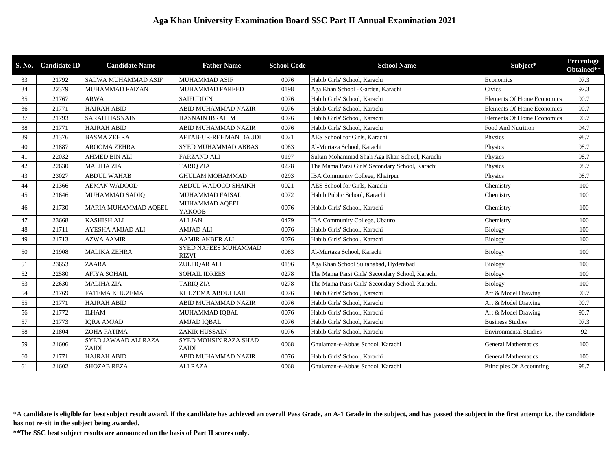|    | S. No. Candidate ID | <b>Candidate Name</b>                | <b>Father Name</b>                          | <b>School Code</b> | <b>School Name</b>                              | Subject*                          | Percentage<br>Obtained** |
|----|---------------------|--------------------------------------|---------------------------------------------|--------------------|-------------------------------------------------|-----------------------------------|--------------------------|
| 33 | 21792               | <b>SALWA MUHAMMAD ASIF</b>           | <b>MUHAMMAD ASIF</b>                        | 0076               | Habib Girls' School, Karachi                    | Economics                         | 97.3                     |
| 34 | 22379               | <b>MUHAMMAD FAIZAN</b>               | <b>MUHAMMAD FAREED</b>                      | 0198               | Aga Khan School - Garden, Karachi               | Civics                            | 97.3                     |
| 35 | 21767               | <b>ARWA</b>                          | <b>SAIFUDDIN</b>                            | 0076               | Habib Girls' School, Karachi                    | <b>Elements Of Home Economics</b> | 90.7                     |
| 36 | 21771               | <b>HAJRAH ABID</b>                   | ABID MUHAMMAD NAZIR                         | 0076               | Habib Girls' School, Karachi                    | <b>Elements Of Home Economics</b> | 90.7                     |
| 37 | 21793               | <b>SARAH HASNAIN</b>                 | <b>HASNAIN IBRAHIM</b>                      | 0076               | Habib Girls' School, Karachi                    | <b>Elements Of Home Economics</b> | 90.7                     |
| 38 | 21771               | <b>HAJRAH ABID</b>                   | ABID MUHAMMAD NAZIR                         | 0076               | Habib Girls' School, Karachi                    | Food And Nutrition                | 94.7                     |
| 39 | 21376               | <b>BASMA ZEHRA</b>                   | <b>AFTAB-UR-REHMAN DAUDI</b>                | 0021               | AES School for Girls, Karachi                   | Physics                           | 98.7                     |
| 40 | 21887               | <b>AROOMA ZEHRA</b>                  | <b>SYED MUHAMMAD ABBAS</b>                  | 0083               | Al-Murtaza School, Karachi                      | Physics                           | 98.7                     |
| 41 | 22032               | <b>AHMED BIN ALI</b>                 | <b>FARZAND ALI</b>                          | 0197               | Sultan Mohammad Shah Aga Khan School, Karachi   | Physics                           | 98.7                     |
| 42 | 22630               | <b>MALIHA ZIA</b>                    | TARIQ ZIA                                   | 0278               | The Mama Parsi Girls' Secondary School, Karachi | Physics                           | 98.7                     |
| 43 | 23027               | <b>ABDUL WAHAB</b>                   | <b>GHULAM MOHAMMAD</b>                      | 0293               | IBA Community College, Khairpur                 | Physics                           | 98.7                     |
| 44 | 21366               | <b>AEMAN WADOOD</b>                  | <b>ABDUL WADOOD SHAIKH</b>                  | 0021               | AES School for Girls, Karachi                   | Chemistry                         | 100                      |
| 45 | 21646               | MUHAMMAD SADIQ                       | MUHAMMAD FAISAL                             | 0072               | Habib Public School, Karachi                    | Chemistry                         | 100                      |
| 46 | 21730               | MARIA MUHAMMAD AQEEL                 | MUHAMMAD AQEEL<br><b>YAKOOB</b>             | 0076               | Habib Girls' School, Karachi                    | Chemistry                         | 100                      |
| 47 | 23668               | <b>KASHISH ALI</b>                   | <b>ALI JAN</b>                              | 0479               | IBA Community College, Ubauro                   | Chemistry                         | 100                      |
| 48 | 21711               | <b>AYESHA AMJAD ALI</b>              | <b>AMJAD ALI</b>                            | 0076               | Habib Girls' School, Karachi                    | <b>Biology</b>                    | 100                      |
| 49 | 21713               | <b>AZWA AAMIR</b>                    | <b>AAMIR AKBER ALI</b>                      | 0076               | Habib Girls' School, Karachi                    | Biology                           | 100                      |
| 50 | 21908               | <b>MALIKA ZEHRA</b>                  | <b>SYED NAFEES MUHAMMAD</b><br><b>RIZVI</b> | 0083               | Al-Murtaza School, Karachi                      | Biology                           | 100                      |
| 51 | 23653               | <b>ZAARA</b>                         | ZULFIQAR ALI                                | 0196               | Aga Khan School Sultanabad, Hyderabad           | Biology                           | 100                      |
| 52 | 22580               | <b>AFIYA SOHAIL</b>                  | <b>SOHAIL IDREES</b>                        | 0278               | The Mama Parsi Girls' Secondary School, Karachi | Biology                           | 100                      |
| 53 | 22630               | <b>MALIHA ZIA</b>                    | <b>TARIQ ZIA</b>                            | 0278               | The Mama Parsi Girls' Secondary School, Karachi | <b>Biology</b>                    | 100                      |
| 54 | 21769               | <b>FATEMA KHUZEMA</b>                | KHUZEMA ABDULLAH                            | 0076               | Habib Girls' School, Karachi                    | Art & Model Drawing               | 90.7                     |
| 55 | 21771               | <b>HAJRAH ABID</b>                   | ABID MUHAMMAD NAZIR                         | 0076               | Habib Girls' School, Karachi                    | Art & Model Drawing               | 90.7                     |
| 56 | 21772               | <b>ILHAM</b>                         | MUHAMMAD IOBAL                              | 0076               | Habib Girls' School, Karachi                    | Art & Model Drawing               | 90.7                     |
| 57 | 21773               | <b>IORA AMJAD</b>                    | AMJAD IQBAL                                 | 0076               | Habib Girls' School, Karachi                    | <b>Business Studies</b>           | 97.3                     |
| 58 | 21804               | <b>ZOHA FATIMA</b>                   | <b>ZAKIR HUSSAIN</b>                        | 0076               | Habib Girls' School, Karachi                    | <b>Environmental Studies</b>      | 92                       |
| 59 | 21606               | SYED JAWAAD ALI RAZA<br><b>ZAIDI</b> | SYED MOHSIN RAZA SHAD<br>ZAIDI              | 0068               | Ghulaman-e-Abbas School, Karachi                | <b>General Mathematics</b>        | 100                      |
| 60 | 21771               | <b>HAJRAH ABID</b>                   | ABID MUHAMMAD NAZIR                         | 0076               | Habib Girls' School, Karachi                    | <b>General Mathematics</b>        | 100                      |
| 61 | 21602               | <b>SHOZAB REZA</b>                   | <b>ALI RAZA</b>                             | 0068               | Ghulaman-e-Abbas School, Karachi                | Principles Of Accounting          | 98.7                     |

**\*A candidate is eligible for best subject result award, if the candidate has achieved an overall Pass Grade, an A-1 Grade in the subject, and has passed the subject in the first attempt i.e. the candidate has not re-sit in the subject being awarded.**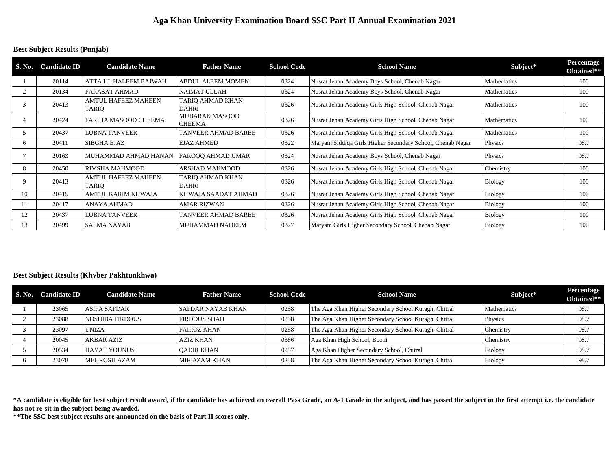#### **Best Subject Results (Punjab)**

| S. No. | <b>Candidate ID</b> | <b>Candidate Name</b>                      | <b>Father Name</b>                     | <b>School Code</b> | <b>School Name</b>                                         | Subject*           | Percentage<br>Obtained** |
|--------|---------------------|--------------------------------------------|----------------------------------------|--------------------|------------------------------------------------------------|--------------------|--------------------------|
|        | 20114               | <b>ATTA UL HALEEM BAJWAH</b>               | <b>ABDUL ALEEM MOMEN</b>               | 0324               | Nusrat Jehan Academy Boys School, Chenab Nagar             | Mathematics        | 100                      |
|        | 20134               | FARASAT AHMAD                              | <b>NAIMAT ULLAH</b>                    | 0324               | Nusrat Jehan Academy Boys School, Chenab Nagar             | Mathematics        | 100                      |
|        | 20413               | <b>AMTUL HAFEEZ MAHEEN</b><br><b>TARIO</b> | TARIO AHMAD KHAN<br><b>DAHRI</b>       | 0326               | Nusrat Jehan Academy Girls High School, Chenab Nagar       | <b>Mathematics</b> | 100                      |
|        | 20424               | FARIHA MASOOD CHEEMA                       | <b>MUBARAK MASOOD</b><br><b>CHEEMA</b> | 0326               | Nusrat Jehan Academy Girls High School, Chenab Nagar       | Mathematics        | 100                      |
|        | 20437               | <b>LUBNA TANVEER</b>                       | <b>TANVEER AHMAD BAREE</b>             | 0326               | Nusrat Jehan Academy Girls High School, Chenab Nagar       | Mathematics        | 100                      |
| h.     | 20411               | SIBGHA EJAZ                                | <b>EJAZ AHMED</b>                      | 0322               | Maryam Siddiga Girls Higher Secondary School, Chenab Nagar | Physics            | 98.7                     |
|        | 20163               | MUHAMMAD AHMAD HANAN                       | <b>FAROOO AHMAD UMAR</b>               | 0324               | Nusrat Jehan Academy Boys School, Chenab Nagar             | Physics            | 98.7                     |
| 8      | 20450               | RIMSHA MAHMOOD                             | <b>ARSHAD MAHMOOD</b>                  | 0326               | Nusrat Jehan Academy Girls High School, Chenab Nagar       | Chemistry          | 100                      |
| 9      | 20413               | <b>AMTUL HAFEEZ MAHEEN</b><br><b>TARIO</b> | TARIO AHMAD KHAN<br><b>DAHRI</b>       | 0326               | Nusrat Jehan Academy Girls High School, Chenab Nagar       | Biology            | 100                      |
| 10     | 20415               | AMTUL KARIM KHWAJA                         | KHWAJA SAADAT AHMAD                    | 0326               | Nusrat Jehan Academy Girls High School, Chenab Nagar       | <b>Biology</b>     | 100                      |
| 11     | 20417               | ANAYA AHMAD                                | AMAR RIZWAN                            | 0326               | Nusrat Jehan Academy Girls High School, Chenab Nagar       | <b>Biology</b>     | 100                      |
| 12     | 20437               | <b>LUBNA TANVEER</b>                       | TANVEER AHMAD BAREE                    | 0326               | Nusrat Jehan Academy Girls High School, Chenab Nagar       | <b>Biology</b>     | 100                      |
| 13     | 20499               | <b>SALMA NAYAB</b>                         | <b>MUHAMMAD NADEEM</b>                 | 0327               | Maryam Girls Higher Secondary School, Chenab Nagar         | <b>Biology</b>     | 100                      |

#### **Best Subject Results (Khyber Pakhtunkhwa)**

| S. No. Candidate ID | <b>Candidate Name</b>  | <b>Father Name</b>       | <b>School Code</b> | <b>School Name</b>                                   | Subject*       | Percentage<br>Obtained** |
|---------------------|------------------------|--------------------------|--------------------|------------------------------------------------------|----------------|--------------------------|
| 23065               | <b>ASIFA SAFDAR</b>    | <b>SAFDAR NAYAB KHAN</b> | 0258               | The Aga Khan Higher Secondary School Kuragh, Chitral | Mathematics    | 98.7                     |
| 23088               | <b>NOSHIBA FIRDOUS</b> | <b>FIRDOUS SHAH</b>      | 0258               | The Aga Khan Higher Secondary School Kuragh, Chitral | Physics        | 98.7                     |
| 23097               | <b>UNIZA</b>           | <b>FAIROZ KHAN</b>       | 0258               | The Aga Khan Higher Secondary School Kuragh, Chitral | Chemistry      | 98.7                     |
| 20045               | <b>AKBAR AZIZ</b>      | <b>AZIZ KHAN</b>         | 0386               | Aga Khan High School, Booni                          | Chemistry      | 98.7                     |
| 20534               | <b>HAYAT YOUNUS</b>    | <b>OADIR KHAN</b>        | 0257               | Aga Khan Higher Secondary School, Chitral            | Biology        | 98.7                     |
| 23078               | MEHROSH AZAM           | <b>MIR AZAM KHAN</b>     | 0258               | The Aga Khan Higher Secondary School Kuragh, Chitral | <b>Biology</b> | 98.7                     |

**\*A candidate is eligible for best subject result award, if the candidate has achieved an overall Pass Grade, an A-1 Grade in the subject, and has passed the subject in the first attempt i.e. the candidate has not re-sit in the subject being awarded.**